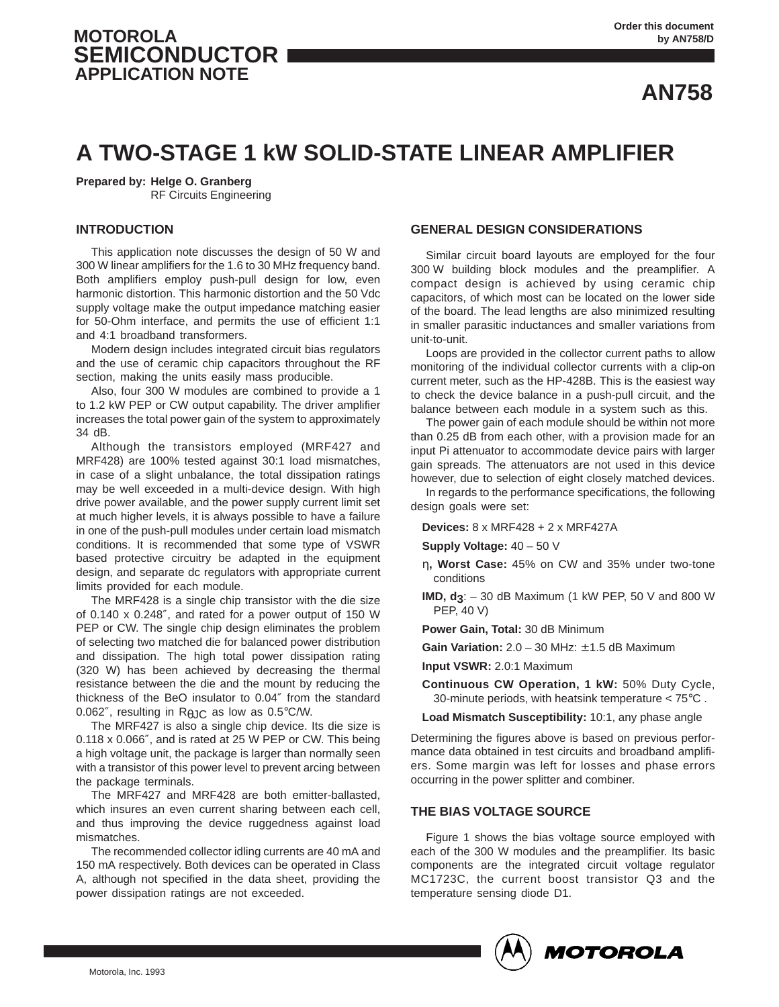# **MOTOROLA SEMICONDUCTOR APPLICATION NOTE**

**AN758**

# **A TWO-STAGE 1 kW SOLID-STATE LINEAR AMPLIFIER**

**Prepared by: Helge O. Granberg**

RF Circuits Engineering

# **INTRODUCTION**

This application note discusses the design of 50 W and 300 W linear amplifiers for the 1.6 to 30 MHz frequency band. Both amplifiers employ push-pull design for low, even harmonic distortion. This harmonic distortion and the 50 Vdc supply voltage make the output impedance matching easier for 50-Ohm interface, and permits the use of efficient 1:1 and 4:1 broadband transformers.

Modern design includes integrated circuit bias regulators and the use of ceramic chip capacitors throughout the RF section, making the units easily mass producible.

Also, four 300 W modules are combined to provide a 1 to 1.2 kW PEP or CW output capability. The driver amplifier increases the total power gain of the system to approximately 34 dB.

Although the transistors employed (MRF427 and MRF428) are 100% tested against 30:1 load mismatches, in case of a slight unbalance, the total dissipation ratings may be well exceeded in a multi-device design. With high drive power available, and the power supply current limit set at much higher levels, it is always possible to have a failure in one of the push-pull modules under certain load mismatch conditions. It is recommended that some type of VSWR based protective circuitry be adapted in the equipment design, and separate dc regulators with appropriate current limits provided for each module.

The MRF428 is a single chip transistor with the die size of 0.140 x 0.248″, and rated for a power output of 150 W PEP or CW. The single chip design eliminates the problem of selecting two matched die for balanced power distribution and dissipation. The high total power dissipation rating (320 W) has been achieved by decreasing the thermal resistance between the die and the mount by reducing the thickness of the BeO insulator to 0.04″ from the standard 0.062", resulting in  $R_{\theta}$  IC as low as 0.5°C/W.

The MRF427 is also a single chip device. Its die size is 0.118 x 0.066″, and is rated at 25 W PEP or CW. This being a high voltage unit, the package is larger than normally seen with a transistor of this power level to prevent arcing between the package terminals.

The MRF427 and MRF428 are both emitter-ballasted, which insures an even current sharing between each cell, and thus improving the device ruggedness against load mismatches.

The recommended collector idling currents are 40 mA and 150 mA respectively. Both devices can be operated in Class A, although not specified in the data sheet, providing the power dissipation ratings are not exceeded.

# **GENERAL DESIGN CONSIDERATIONS**

Similar circuit board layouts are employed for the four 300 W building block modules and the preamplifier. A compact design is achieved by using ceramic chip capacitors, of which most can be located on the lower side of the board. The lead lengths are also minimized resulting in smaller parasitic inductances and smaller variations from unit-to-unit.

Loops are provided in the collector current paths to allow monitoring of the individual collector currents with a clip-on current meter, such as the HP-428B. This is the easiest way to check the device balance in a push-pull circuit, and the balance between each module in a system such as this.

The power gain of each module should be within not more than 0.25 dB from each other, with a provision made for an input Pi attenuator to accommodate device pairs with larger gain spreads. The attenuators are not used in this device however, due to selection of eight closely matched devices.

In regards to the performance specifications, the following design goals were set:

**Devices:** 8 x MRF428 + 2 x MRF427A

**Supply Voltage:** 40 – 50 V

- η**, Worst Case:** 45% on CW and 35% under two-tone conditions
- **IMD, d3**: 30 dB Maximum (1 kW PEP, 50 V and 800 W PEP, 40 V)
- **Power Gain, Total:** 30 dB Minimum
- **Gain Variation:** 2.0 30 MHz: ± 1.5 dB Maximum

**Input VSWR:** 2.0:1 Maximum

**Continuous CW Operation, 1 kW:** 50% Duty Cycle, 30-minute periods, with heatsink temperature < 75°C .

**Load Mismatch Susceptibility:** 10:1, any phase angle

Determining the figures above is based on previous performance data obtained in test circuits and broadband amplifiers. Some margin was left for losses and phase errors occurring in the power splitter and combiner.

# **THE BIAS VOLTAGE SOURCE**

Figure 1 shows the bias voltage source employed with each of the 300 W modules and the preamplifier. Its basic components are the integrated circuit voltage regulator MC1723C, the current boost transistor Q3 and the temperature sensing diode D1.

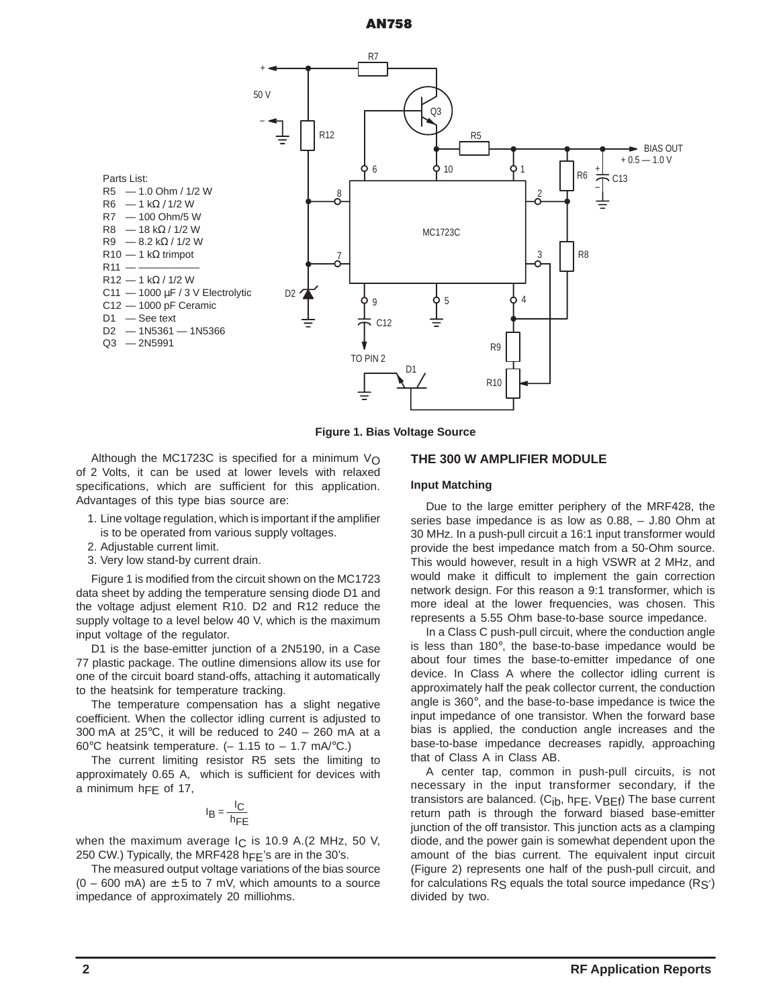

**Figure 1. Bias Voltage Source**

Although the MC1723C is specified for a minimum  $V_{\Omega}$ of 2 Volts, it can be used at lower levels with relaxed specifications, which are sufficient for this application. Advantages of this type bias source are:

- 1. Line voltage regulation, which is important if the amplifier is to be operated from various supply voltages.
- 2. Adjustable current limit.
- 3. Very low stand-by current drain.

Figure 1 is modified from the circuit shown on the MC1723 data sheet by adding the temperature sensing diode D1 and the voltage adjust element R10. D2 and R12 reduce the supply voltage to a level below 40 V, which is the maximum input voltage of the regulator.

D1 is the base-emitter junction of a 2N5190, in a Case 77 plastic package. The outline dimensions allow its use for one of the circuit board stand-offs, attaching it automatically to the heatsink for temperature tracking.

The temperature compensation has a slight negative coefficient. When the collector idling current is adjusted to 300 mA at  $25^{\circ}$ C, it will be reduced to  $240 - 260$  mA at a 60 $\degree$ C heatsink temperature. (- 1.15 to - 1.7 mA $\degree$ C.)

The current limiting resistor R5 sets the limiting to approximately 0.65 A, which is sufficient for devices with a minimum  $h$ FF of 17,

$$
I_B = \frac{I_C}{h_{FE}}
$$

when the maximum average  $I_C$  is 10.9 A.(2 MHz, 50 V, 250 CW.) Typically, the MRF428 hFF's are in the 30's.

The measured output voltage variations of the bias source  $(0 - 600 \text{ mA})$  are  $\pm 5$  to 7 mV, which amounts to a source impedance of approximately 20 milliohms.

#### **THE 300 W AMPLIFIER MODULE**

#### **Input Matching**

Due to the large emitter periphery of the MRF428, the series base impedance is as low as 0.88, – J.80 Ohm at 30 MHz. In a push-pull circuit a 16:1 input transformer would provide the best impedance match from a 50-Ohm source. This would however, result in a high VSWR at 2 MHz, and would make it difficult to implement the gain correction network design. For this reason a 9:1 transformer, which is more ideal at the lower frequencies, was chosen. This represents a 5.55 Ohm base-to-base source impedance.

In a Class C push-pull circuit, where the conduction angle is less than 180°, the base-to-base impedance would be about four times the base-to-emitter impedance of one device. In Class A where the collector idling current is approximately half the peak collector current, the conduction angle is 360°, and the base-to-base impedance is twice the input impedance of one transistor. When the forward base bias is applied, the conduction angle increases and the base-to-base impedance decreases rapidly, approaching that of Class A in Class AB.

A center tap, common in push-pull circuits, is not necessary in the input transformer secondary, if the transistors are balanced. (C<sub>ib</sub>, h<sub>FE</sub>, V<sub>BEf</sub>) The base current return path is through the forward biased base-emitter junction of the off transistor. This junction acts as a clamping diode, and the power gain is somewhat dependent upon the amount of the bias current. The equivalent input circuit (Figure 2) represents one half of the push-pull circuit, and for calculations  $R_S$  equals the total source impedance  $(R_S)$ divided by two.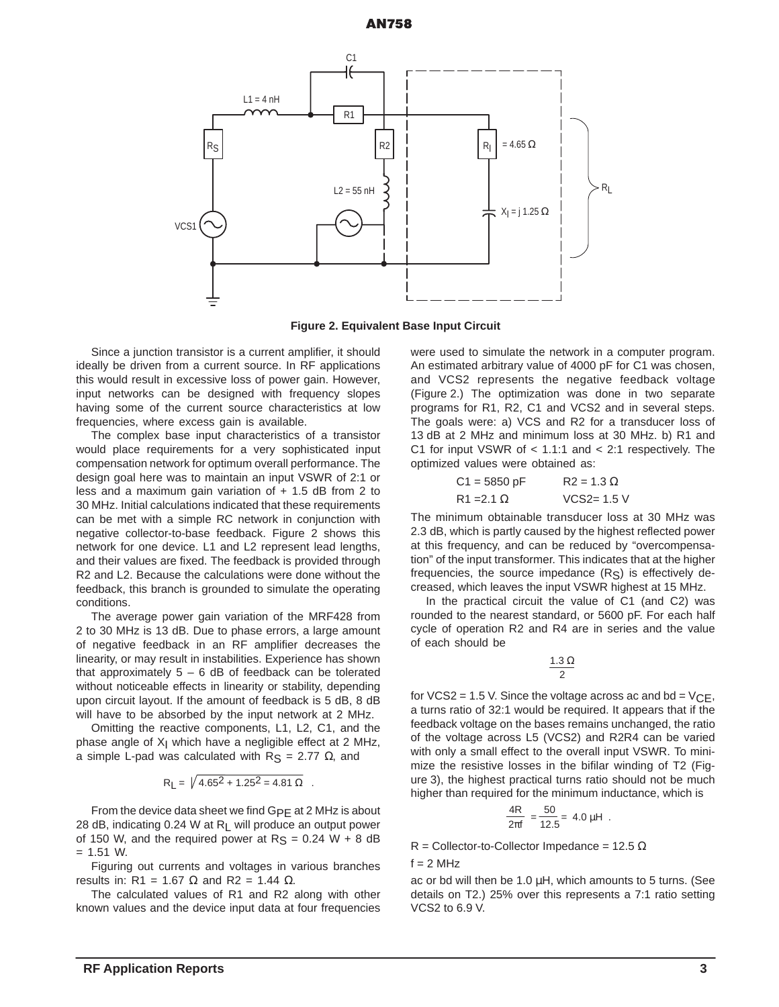

**Figure 2. Equivalent Base Input Circuit**

Since a junction transistor is a current amplifier, it should ideally be driven from a current source. In RF applications this would result in excessive loss of power gain. However, input networks can be designed with frequency slopes having some of the current source characteristics at low frequencies, where excess gain is available.

The complex base input characteristics of a transistor would place requirements for a very sophisticated input compensation network for optimum overall performance. The design goal here was to maintain an input VSWR of 2:1 or less and a maximum gain variation of  $+ 1.5$  dB from 2 to 30 MHz. Initial calculations indicated that these requirements can be met with a simple RC network in conjunction with negative collector-to-base feedback. Figure 2 shows this network for one device. L1 and L2 represent lead lengths, and their values are fixed. The feedback is provided through R2 and L2. Because the calculations were done without the feedback, this branch is grounded to simulate the operating conditions.

The average power gain variation of the MRF428 from 2 to 30 MHz is 13 dB. Due to phase errors, a large amount of negative feedback in an RF amplifier decreases the linearity, or may result in instabilities. Experience has shown that approximately  $5 - 6$  dB of feedback can be tolerated without noticeable effects in linearity or stability, depending upon circuit layout. If the amount of feedback is 5 dB, 8 dB will have to be absorbed by the input network at 2 MHz.

Omitting the reactive components, L1, L2, C1, and the phase angle of  $X<sub>l</sub>$  which have a negligible effect at 2 MHz, a simple L-pad was calculated with  $R_S = 2.77 \Omega$ , and

$$
R_{L} = \sqrt{4.65^2 + 1.25^2} = 4.81 \Omega
$$

From the device data sheet we find GpE at 2 MHz is about 28 dB, indicating 0.24 W at RL will produce an output power of 150 W, and the required power at  $R_S = 0.24 W + 8 dB$  $= 1.51$  W.

Figuring out currents and voltages in various branches results in: R1 = 1.67  $\Omega$  and R2 = 1.44  $\Omega$ .

The calculated values of R1 and R2 along with other known values and the device input data at four frequencies were used to simulate the network in a computer program. An estimated arbitrary value of 4000 pF for C1 was chosen, and VCS2 represents the negative feedback voltage (Figure 2.) The optimization was done in two separate programs for R1, R2, C1 and VCS2 and in several steps. The goals were: a) VCS and R2 for a transducer loss of 13 dB at 2 MHz and minimum loss at 30 MHz. b) R1 and C1 for input VSWR of  $<$  1.1:1 and  $<$  2:1 respectively. The optimized values were obtained as:

| $C1 = 5850 pF$    | $R2 = 1.3 \Omega$ |
|-------------------|-------------------|
| $R1 = 2.1 \Omega$ | $VCS2 = 1.5 V$    |

The minimum obtainable transducer loss at 30 MHz was 2.3 dB, which is partly caused by the highest reflected power at this frequency, and can be reduced by "overcompensation" of the input transformer. This indicates that at the higher frequencies, the source impedance  $(R<sub>S</sub>)$  is effectively decreased, which leaves the input VSWR highest at 15 MHz.

In the practical circuit the value of C1 (and C2) was rounded to the nearest standard, or 5600 pF. For each half cycle of operation R2 and R4 are in series and the value of each should be

> 2 1.3 Ω

for VCS2 = 1.5 V. Since the voltage across ac and  $bd = VCE$ , a turns ratio of 32:1 would be required. It appears that if the feedback voltage on the bases remains unchanged, the ratio of the voltage across L5 (VCS2) and R2R4 can be varied with only a small effect to the overall input VSWR. To minimize the resistive losses in the bifilar winding of T2 (Figure 3), the highest practical turns ratio should not be much higher than required for the minimum inductance, which is

$$
\frac{4R}{2\pi f} = \frac{50}{12.5} = 4.0 \, \mu H \; .
$$

R = Collector-to-Collector Impedance = 12.5  $\Omega$ 

 $f = 2 MHz$ 

ac or bd will then be 1.0 µH, which amounts to 5 turns. (See details on T2.) 25% over this represents a 7:1 ratio setting VCS2 to 6.9 V.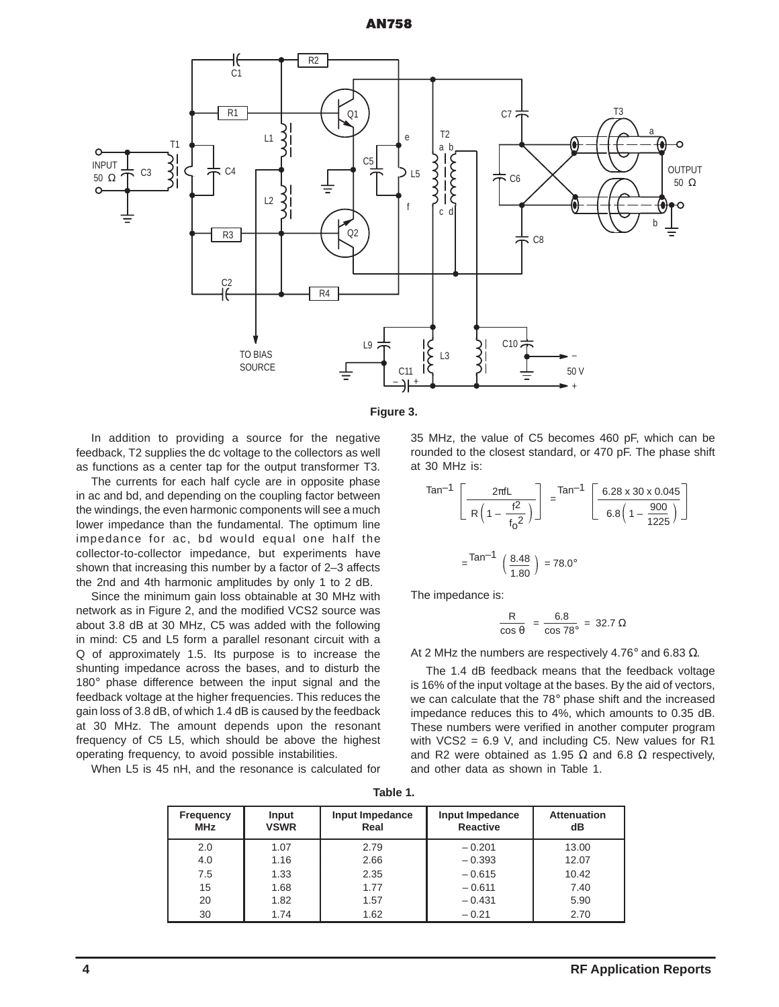**AN758** 





In addition to providing a source for the negative feedback, T2 supplies the dc voltage to the collectors as well as functions as a center tap for the output transformer T3.

The currents for each half cycle are in opposite phase in ac and bd, and depending on the coupling factor between the windings, the even harmonic components will see a much lower impedance than the fundamental. The optimum line impedance for ac, bd would equal one half the collector-to-collector impedance, but experiments have shown that increasing this number by a factor of 2–3 affects the 2nd and 4th harmonic amplitudes by only 1 to 2 dB.

Since the minimum gain loss obtainable at 30 MHz with network as in Figure 2, and the modified VCS2 source was about 3.8 dB at 30 MHz, C5 was added with the following in mind: C5 and L5 form a parallel resonant circuit with a Q of approximately 1.5. Its purpose is to increase the shunting impedance across the bases, and to disturb the 180° phase difference between the input signal and the feedback voltage at the higher frequencies. This reduces the gain loss of 3.8 dB, of which 1.4 dB is caused by the feedback at 30 MHz. The amount depends upon the resonant frequency of C5 L5, which should be above the highest operating frequency, to avoid possible instabilities.

When L5 is 45 nH, and the resonance is calculated for

35 MHz, the value of C5 becomes 460 pF, which can be rounded to the closest standard, or 470 pF. The phase shift at 30 MHz is:

$$
\tan^{-1}\left[\frac{2\pi fL}{R\left(1 - \frac{f^2}{f_0^2}\right)}\right] = \tan^{-1}\left[\frac{6.28 \times 30 \times 0.045}{6.8\left(1 - \frac{900}{1225}\right)}\right]
$$

$$
= \tan^{-1}\left(\frac{8.48}{1.80}\right) = 78.0^{\circ}
$$

The impedance is:

$$
\frac{R}{\cos \theta} = \frac{6.8}{\cos 78^{\circ}} = 32.7 \ \Omega
$$

At 2 MHz the numbers are respectively 4.76° and 6.83 Ω.

The 1.4 dB feedback means that the feedback voltage is 16% of the input voltage at the bases. By the aid of vectors, we can calculate that the 78° phase shift and the increased impedance reduces this to 4%, which amounts to 0.35 dB. These numbers were verified in another computer program with  $VCS2 = 6.9$  V, and including C5. New values for R1 and R2 were obtained as 1.95  $\Omega$  and 6.8  $\Omega$  respectively, and other data as shown in Table 1.

| Table 1. |  |
|----------|--|
|          |  |

| <b>Frequency</b><br><b>MHz</b> | Input<br><b>VSWR</b> | Input Impedance<br>Real | Input Impedance<br><b>Reactive</b> | <b>Attenuation</b><br>dB |
|--------------------------------|----------------------|-------------------------|------------------------------------|--------------------------|
| 2.0                            | 1.07                 | 2.79                    | $-0.201$                           | 13.00                    |
| 4.0                            | 1.16                 | 2.66                    | $-0.393$                           | 12.07                    |
| 7.5                            | 1.33                 | 2.35                    | $-0.615$                           | 10.42                    |
| 15                             | 1.68                 | 1.77                    | $-0.611$                           | 7.40                     |
| 20                             | 1.82                 | 1.57                    | $-0.431$                           | 5.90                     |
| 30                             | 1.74                 | 1.62                    | $-0.21$                            | 2.70                     |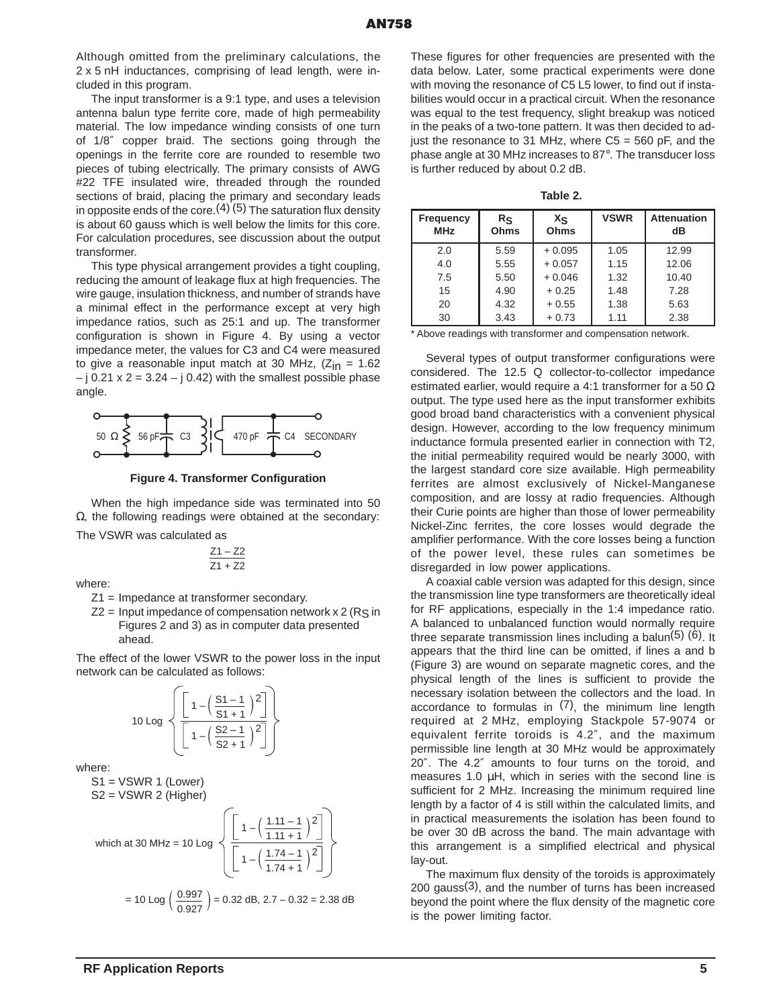Although omitted from the preliminary calculations, the 2 x 5 nH inductances, comprising of lead length, were included in this program.

The input transformer is a 9:1 type, and uses a television antenna balun type ferrite core, made of high permeability material. The low impedance winding consists of one turn of 1/8″ copper braid. The sections going through the openings in the ferrite core are rounded to resemble two pieces of tubing electrically. The primary consists of AWG #22 TFE insulated wire, threaded through the rounded sections of braid, placing the primary and secondary leads in opposite ends of the core.  $(4)$  (5) The saturation flux density is about 60 gauss which is well below the limits for this core. For calculation procedures, see discussion about the output transformer.

This type physical arrangement provides a tight coupling, reducing the amount of leakage flux at high frequencies. The wire gauge, insulation thickness, and number of strands have a minimal effect in the performance except at very high impedance ratios, such as 25:1 and up. The transformer configuration is shown in Figure 4. By using a vector impedance meter, the values for C3 and C4 were measured to give a reasonable input match at 30 MHz,  $(Z_{in} = 1.62)$  $-$  j 0.21 x 2 = 3.24  $-$  j 0.42) with the smallest possible phase angle.



**Figure 4. Transformer Configuration**

When the high impedance side was terminated into 50  $Ω$ , the following readings were obtained at the secondary:

The VSWR was calculated as

$$
\frac{Z1 - Z2}{Z1 + Z2}
$$

where:

Z1 = Impedance at transformer secondary.

 $Z2$  = Input impedance of compensation network x 2 (Rs in Figures 2 and 3) as in computer data presented ahead.

The effect of the lower VSWR to the power loss in the input network can be calculated as follows:

$$
10 \text{ Log } \left\{ \frac{\left[1 - \left(\frac{S1 - 1}{S1 + 1}\right)^2\right]}{\left[1 - \left(\frac{S2 - 1}{S2 + 1}\right)^2\right]} \right\}
$$

where:

 $S1 = VSWR 1$  (Lower) S2 = VSWR 2 (Higher)

which at 30 MHz = 10 Log 
$$
\sqrt{\frac{\left[1 - \left(\frac{1.11 - 1}{1.11 + 1}\right)^2\right]}{\left[1 - \left(\frac{1.74 - 1}{1.74 + 1}\right)^2\right]}}
$$
  
= 10 Log  $\left(\frac{0.997}{0.927}\right)$  = 0.32 dB, 2.7 - 0.32 = 2.38 dB

These figures for other frequencies are presented with the data below. Later, some practical experiments were done with moving the resonance of C5 L5 lower, to find out if instabilities would occur in a practical circuit. When the resonance was equal to the test frequency, slight breakup was noticed in the peaks of a two-tone pattern. It was then decided to adjust the resonance to 31 MHz, where  $C5 = 560$  pF, and the phase angle at 30 MHz increases to 87°. The transducer loss is further reduced by about 0.2 dB.

|--|--|

| <b>Frequency</b><br><b>MHz</b> | Rs<br>Ohms | Xs<br>Ohms | <b>VSWR</b> | <b>Attenuation</b><br>dB |
|--------------------------------|------------|------------|-------------|--------------------------|
| 2.0                            | 5.59       | $+0.095$   | 1.05        | 12.99                    |
| 4.0                            | 5.55       | $+0.057$   | 1.15        | 12.06                    |
| 7.5                            | 5.50       | $+0.046$   | 1.32        | 10.40                    |
| 15                             | 4.90       | $+0.25$    | 1.48        | 7.28                     |
| 20                             | 4.32       | $+0.55$    | 1.38        | 5.63                     |
| 30                             | 3.43       | $+0.73$    | 1.11        | 2.38                     |

\* Above readings with transformer and compensation network.

Several types of output transformer configurations were considered. The 12.5 Q collector-to-collector impedance estimated earlier, would require a 4:1 transformer for a 50  $\Omega$ output. The type used here as the input transformer exhibits good broad band characteristics with a convenient physical design. However, according to the low frequency minimum inductance formula presented earlier in connection with T2, the initial permeability required would be nearly 3000, with the largest standard core size available. High permeability ferrites are almost exclusively of Nickel-Manganese composition, and are lossy at radio frequencies. Although their Curie points are higher than those of lower permeability Nickel-Zinc ferrites, the core losses would degrade the amplifier performance. With the core losses being a function of the power level, these rules can sometimes be disregarded in low power applications.

A coaxial cable version was adapted for this design, since the transmission line type transformers are theoretically ideal for RF applications, especially in the 1:4 impedance ratio. A balanced to unbalanced function would normally require three separate transmission lines including a balun( $5$ ) ( $6$ ). It appears that the third line can be omitted, if lines a and b (Figure 3) are wound on separate magnetic cores, and the physical length of the lines is sufficient to provide the necessary isolation between the collectors and the load. In accordance to formulas in  $(7)$ , the minimum line length required at 2 MHz, employing Stackpole 57-9074 or equivalent ferrite toroids is 4.2″, and the maximum permissible line length at 30 MHz would be approximately 20″. The 4.2″ amounts to four turns on the toroid, and measures 1.0 µH, which in series with the second line is sufficient for 2 MHz. Increasing the minimum required line length by a factor of 4 is still within the calculated limits, and in practical measurements the isolation has been found to be over 30 dB across the band. The main advantage with this arrangement is a simplified electrical and physical lay-out.

The maximum flux density of the toroids is approximately  $200$  gauss $(3)$ , and the number of turns has been increased beyond the point where the flux density of the magnetic core is the power limiting factor.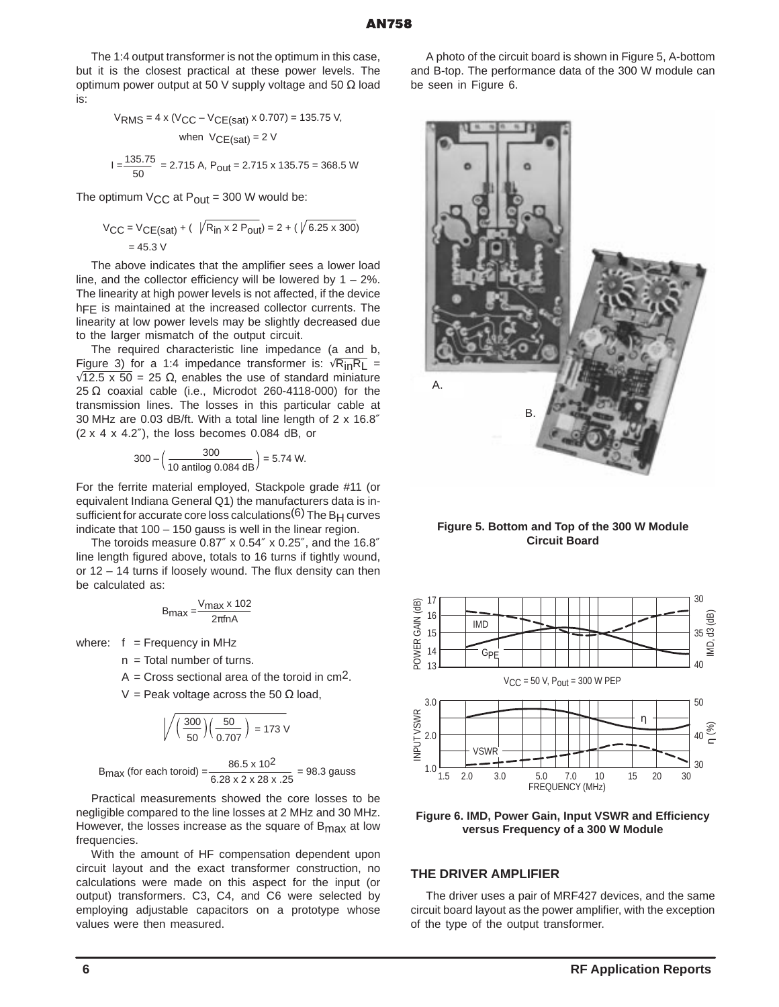The 1:4 output transformer is not the optimum in this case, but it is the closest practical at these power levels. The optimum power output at 50 V supply voltage and 50  $\Omega$  load is:

$$
V_{RMS} = 4 \times (V_{CC} - V_{CE(sat)} \times 0.707) = 135.75 V,
$$
  
when 
$$
V_{CE(sat)} = 2 V
$$

$$
I = \frac{135.75}{50} = 2.715 A, P_{out} = 2.715 \times 135.75 = 368.5 W
$$

The optimum  $V_{\text{CC}}$  at  $P_{\text{out}}$  = 300 W would be:

$$
V_{CC} = V_{CE(sat)} + (\sqrt{R_{in} \times 2 P_{out}}) = 2 + (\sqrt{6.25 \times 300})
$$
  
= 45.3 V

The above indicates that the amplifier sees a lower load line, and the collector efficiency will be lowered by  $1 - 2\%$ . The linearity at high power levels is not affected, if the device h<sub>FE</sub> is maintained at the increased collector currents. The linearity at low power levels may be slightly decreased due to the larger mismatch of the output circuit.

The required characteristic line impedance (a and b, Figure 3) for a 1:4 impedance transformer is:  $\sqrt{R_{in}R_L}$  =  $\sqrt{12.5 \times 50}$  = 25  $\Omega$ , enables the use of standard miniature 25  $\Omega$  coaxial cable (i.e., Microdot 260-4118-000) for the transmission lines. The losses in this particular cable at 30 MHz are 0.03 dB/ft. With a total line length of 2 x 16.8″ (2 x 4 x 4.2″), the loss becomes 0.084 dB, or

$$
300 - \left(\frac{300}{10 \text{ antilog } 0.084 \text{ dB}}\right) = 5.74 \text{ W}.
$$

For the ferrite material employed, Stackpole grade #11 (or equivalent Indiana General Q1) the manufacturers data is insufficient for accurate core loss calculations $(6)$  The B<sub>H</sub> curves indicate that 100 – 150 gauss is well in the linear region.

The toroids measure 0.87″ x 0.54″ x 0.25″, and the 16.8″ line length figured above, totals to 16 turns if tightly wound, or 12 – 14 turns if loosely wound. The flux density can then be calculated as:

$$
B_{\text{max}} = \frac{V_{\text{max}} \times 102}{2\pi f n A}
$$

where:  $f = F$ requency in MHz

 $n =$  Total number of turns.

 $A = Cross$  sectional area of the toroid in cm<sup>2</sup>.

V = Peak voltage across the 50  $\Omega$  load,

$$
\sqrt{\left(\frac{300}{50}\right)\left(\frac{50}{0.707}\right)} = 173 \text{ V}
$$

6.28 x 2 x 28 x .25 B<sub>max</sub> (for each toroid) =  $\frac{86.5 \times 10^2}{6.28 \times 3 \times 28 \times 25}$  = 98.3 gauss

Practical measurements showed the core losses to be negligible compared to the line losses at 2 MHz and 30 MHz. However, the losses increase as the square of B<sub>max</sub> at low frequencies.

With the amount of HF compensation dependent upon circuit layout and the exact transformer construction, no calculations were made on this aspect for the input (or output) transformers. C3, C4, and C6 were selected by employing adjustable capacitors on a prototype whose values were then measured.

A photo of the circuit board is shown in Figure 5, A-bottom and B-top. The performance data of the 300 W module can be seen in Figure 6.



**Figure 5. Bottom and Top of the 300 W Module Circuit Board**



**Figure 6. IMD, Power Gain, Input VSWR and Efficiency versus Frequency of a 300 W Module**

#### **THE DRIVER AMPLIFIER**

The driver uses a pair of MRF427 devices, and the same circuit board layout as the power amplifier, with the exception of the type of the output transformer.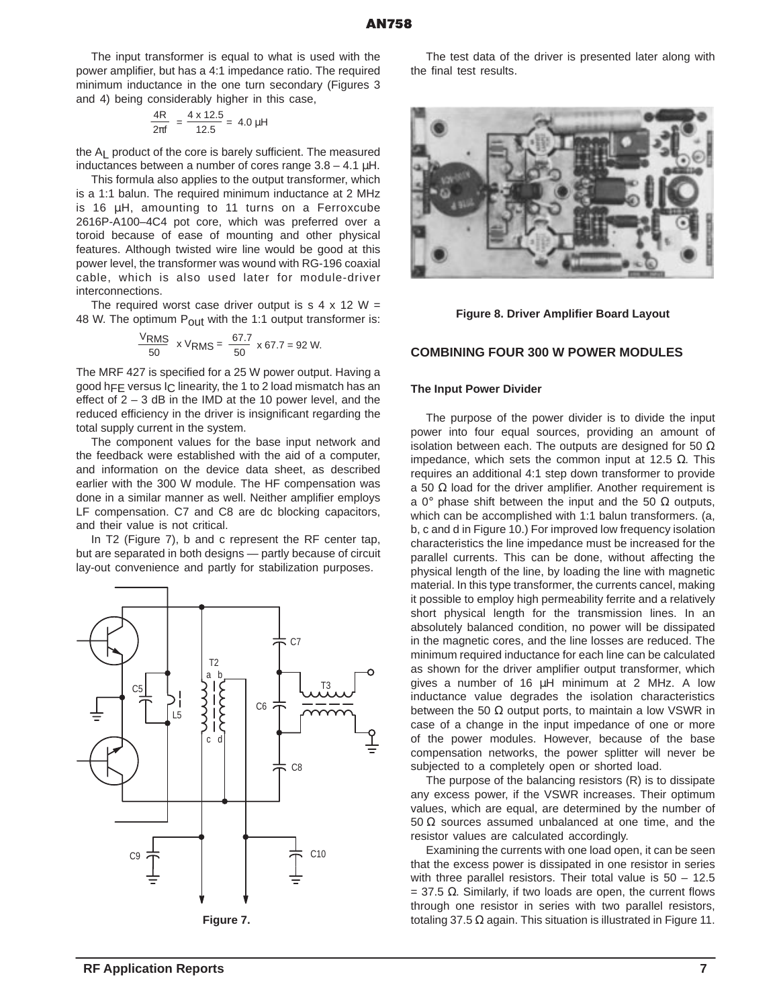The input transformer is equal to what is used with the power amplifier, but has a 4:1 impedance ratio. The required minimum inductance in the one turn secondary (Figures 3 and 4) being considerably higher in this case,

$$
\frac{4R}{2\pi f} = \frac{4 \times 12.5}{12.5} = 4.0 \,\mu H
$$

the AL product of the core is barely sufficient. The measured inductances between a number of cores range  $3.8 - 4.1 \mu$ H.

This formula also applies to the output transformer, which is a 1:1 balun. The required minimum inductance at 2 MHz is 16 µH, amounting to 11 turns on a Ferroxcube 2616P-A100–4C4 pot core, which was preferred over a toroid because of ease of mounting and other physical features. Although twisted wire line would be good at this power level, the transformer was wound with RG-196 coaxial cable, which is also used later for module-driver interconnections.

The required worst case driver output is  $s$  4 x 12 W = 48 W. The optimum  $P_{\text{Out}}$  with the 1:1 output transformer is:

$$
\frac{\text{VRMS}}{50} \times \text{VRMS} = \frac{67.7}{50} \times 67.7 = 92 \text{ W}.
$$

The MRF 427 is specified for a 25 W power output. Having a good hFF versus  $\vert$ <sub>C</sub> linearity, the 1 to 2 load mismatch has an effect of  $2 - 3$  dB in the IMD at the 10 power level, and the reduced efficiency in the driver is insignificant regarding the total supply current in the system.

The component values for the base input network and the feedback were established with the aid of a computer, and information on the device data sheet, as described earlier with the 300 W module. The HF compensation was done in a similar manner as well. Neither amplifier employs LF compensation. C7 and C8 are dc blocking capacitors, and their value is not critical.

In T2 (Figure 7), b and c represent the RF center tap, but are separated in both designs — partly because of circuit lay-out convenience and partly for stabilization purposes.



The test data of the driver is presented later along with the final test results.



#### **Figure 8. Driver Amplifier Board Layout**

#### **COMBINING FOUR 300 W POWER MODULES**

#### **The Input Power Divider**

The purpose of the power divider is to divide the input power into four equal sources, providing an amount of isolation between each. The outputs are designed for 50  $\Omega$ impedance, which sets the common input at 12.5  $Ω$ . This requires an additional 4:1 step down transformer to provide a 50  $\Omega$  load for the driver amplifier. Another requirement is a 0° phase shift between the input and the 50  $\Omega$  outputs, which can be accomplished with 1:1 balun transformers. (a, b, c and d in Figure 10.) For improved low frequency isolation characteristics the line impedance must be increased for the parallel currents. This can be done, without affecting the physical length of the line, by loading the line with magnetic material. In this type transformer, the currents cancel, making it possible to employ high permeability ferrite and a relatively short physical length for the transmission lines. In an absolutely balanced condition, no power will be dissipated in the magnetic cores, and the line losses are reduced. The minimum required inductance for each line can be calculated as shown for the driver amplifier output transformer, which gives a number of 16 µH minimum at 2 MHz. A low inductance value degrades the isolation characteristics between the 50  $\Omega$  output ports, to maintain a low VSWR in case of a change in the input impedance of one or more of the power modules. However, because of the base compensation networks, the power splitter will never be subjected to a completely open or shorted load.

The purpose of the balancing resistors (R) is to dissipate any excess power, if the VSWR increases. Their optimum values, which are equal, are determined by the number of 50  $Ω$  sources assumed unbalanced at one time, and the resistor values are calculated accordingly.

Examining the currents with one load open, it can be seen that the excess power is dissipated in one resistor in series with three parallel resistors. Their total value is 50 - 12.5  $=$  37.5 Ω. Similarly, if two loads are open, the current flows through one resistor in series with two parallel resistors, totaling 37.5 Ω again. This situation is illustrated in Figure 11.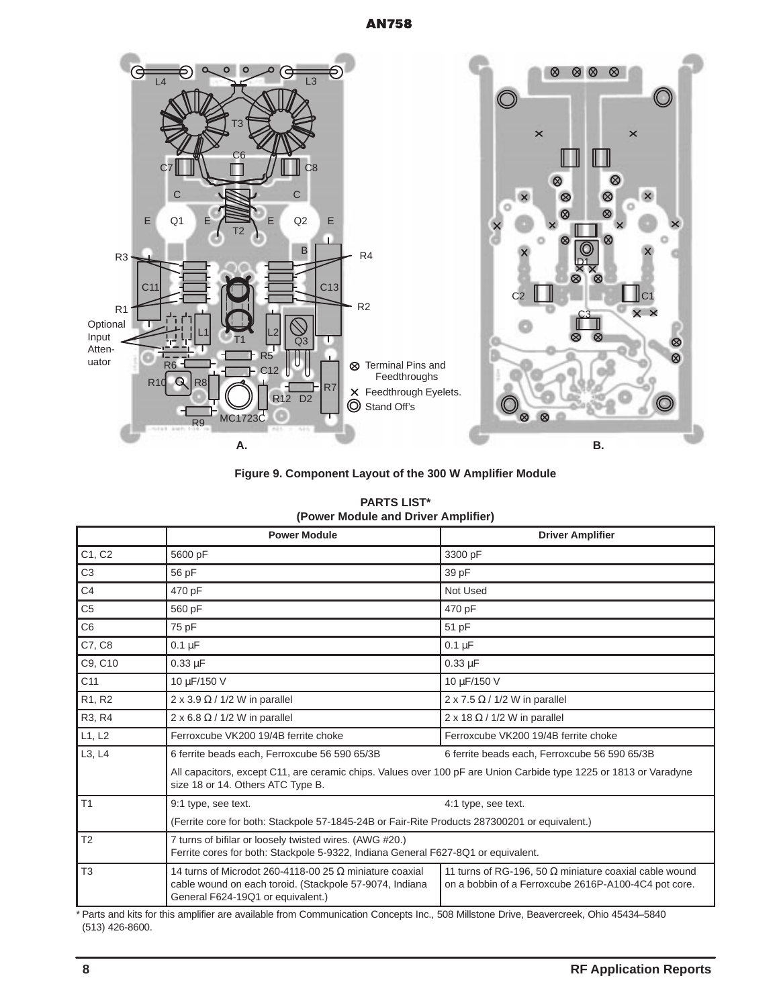# **AN758**



**Figure 9. Component Layout of the 300 W Amplifier Module**

| <b>PARTS LIST*</b>                  |  |  |
|-------------------------------------|--|--|
| (Power Module and Driver Amplifier) |  |  |

|                 | <b>Power Module</b>                                                                                                                                            | <b>Driver Amplifier</b>                                                                                               |  |
|-----------------|----------------------------------------------------------------------------------------------------------------------------------------------------------------|-----------------------------------------------------------------------------------------------------------------------|--|
| C1, C2          | 5600 pF                                                                                                                                                        | 3300 pF                                                                                                               |  |
| C <sub>3</sub>  | 56 pF                                                                                                                                                          | 39 pF                                                                                                                 |  |
| C <sub>4</sub>  | 470 pF                                                                                                                                                         | Not Used                                                                                                              |  |
| C <sub>5</sub>  | 560 pF                                                                                                                                                         | 470 pF                                                                                                                |  |
| C <sub>6</sub>  | 75 pF                                                                                                                                                          | 51 pF                                                                                                                 |  |
| C7, C8          | $0.1 \mu F$                                                                                                                                                    | $0.1 \mu F$                                                                                                           |  |
| C9, C10         | $0.33 \mu F$                                                                                                                                                   | $0.33 \mu F$                                                                                                          |  |
| C <sub>11</sub> | 10 μF/150 V                                                                                                                                                    | 10 µF/150 V                                                                                                           |  |
| R1, R2          | 2 x 3.9 $\Omega$ / 1/2 W in parallel                                                                                                                           | $2 \times 7.5 \Omega / 1/2$ W in parallel                                                                             |  |
| R3, R4          | $2 \times 6.8 \Omega / 1/2$ W in parallel                                                                                                                      | 2 x 18 $\Omega$ / 1/2 W in parallel                                                                                   |  |
| L1, L2          | Ferroxcube VK200 19/4B ferrite choke                                                                                                                           | Ferroxcube VK200 19/4B ferrite choke                                                                                  |  |
| L3, L4          | 6 ferrite beads each, Ferroxcube 56 590 65/3B                                                                                                                  | 6 ferrite beads each, Ferroxcube 56 590 65/3B                                                                         |  |
|                 | All capacitors, except C11, are ceramic chips. Values over 100 pF are Union Carbide type 1225 or 1813 or Varadyne<br>size 18 or 14. Others ATC Type B.         |                                                                                                                       |  |
| T <sub>1</sub>  | 9:1 type, see text.<br>4:1 type, see text.                                                                                                                     |                                                                                                                       |  |
|                 | (Ferrite core for both: Stackpole 57-1845-24B or Fair-Rite Products 287300201 or equivalent.)                                                                  |                                                                                                                       |  |
| T <sub>2</sub>  | 7 turns of bifilar or loosely twisted wires. (AWG #20.)<br>Ferrite cores for both: Stackpole 5-9322, Indiana General F627-8Q1 or equivalent.                   |                                                                                                                       |  |
| T <sub>3</sub>  | 14 turns of Microdot 260-4118-00 25 $\Omega$ miniature coaxial<br>cable wound on each toroid. (Stackpole 57-9074, Indiana<br>General F624-19Q1 or equivalent.) | 11 turns of RG-196, 50 $\Omega$ miniature coaxial cable wound<br>on a bobbin of a Ferroxcube 2616P-A100-4C4 pot core. |  |

\* Parts and kits for this amplifier are available from Communication Concepts Inc., 508 Millstone Drive, Beavercreek, Ohio 45434–5840 (513) 426-8600.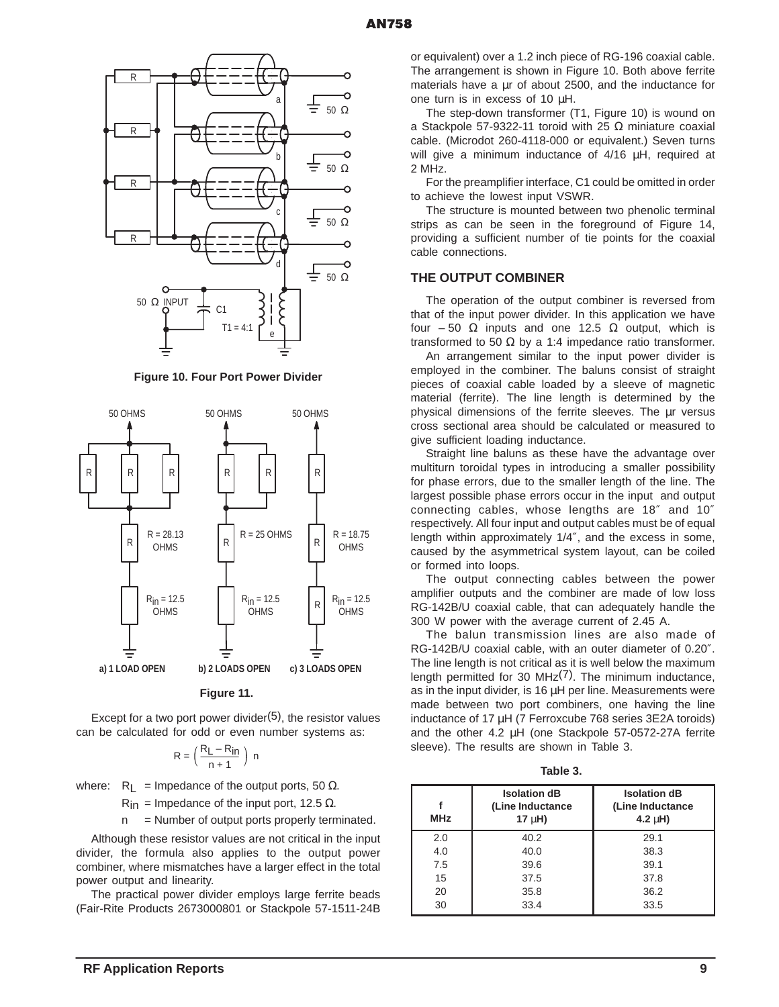

**Figure 10. Four Port Power Divider**



**Figure 11.** 

Except for a two port power divider $(5)$ , the resistor values can be calculated for odd or even number systems as:

$$
R = \left(\frac{R_L - R_{in}}{n+1}\right) \ n
$$

where:  $R_{\perp}$  = Impedance of the output ports, 50  $\Omega$ .

 $R_{in}$  = Impedance of the input port, 12.5 Ω.

n = Number of output ports properly terminated.

Although these resistor values are not critical in the input divider, the formula also applies to the output power combiner, where mismatches have a larger effect in the total power output and linearity.

The practical power divider employs large ferrite beads (Fair-Rite Products 2673000801 or Stackpole 57-1511-24B or equivalent) over a 1.2 inch piece of RG-196 coaxial cable. The arrangement is shown in Figure 10. Both above ferrite materials have a  $\mu$ r of about 2500, and the inductance for one turn is in excess of 10 µH.

The step-down transformer (T1, Figure 10) is wound on a Stackpole 57-9322-11 toroid with 25  $Ω$  miniature coaxial cable. (Microdot 260-4118-000 or equivalent.) Seven turns will give a minimum inductance of 4/16  $\mu$ H, required at 2 MHz.

For the preamplifier interface, C1 could be omitted in order to achieve the lowest input VSWR.

The structure is mounted between two phenolic terminal strips as can be seen in the foreground of Figure 14, providing a sufficient number of tie points for the coaxial cable connections.

#### **THE OUTPUT COMBINER**

The operation of the output combiner is reversed from that of the input power divider. In this application we have four – 50  $\Omega$  inputs and one 12.5  $\Omega$  output, which is transformed to 50  $\Omega$  by a 1:4 impedance ratio transformer.

An arrangement similar to the input power divider is employed in the combiner. The baluns consist of straight pieces of coaxial cable loaded by a sleeve of magnetic material (ferrite). The line length is determined by the physical dimensions of the ferrite sleeves. The µr versus cross sectional area should be calculated or measured to give sufficient loading inductance.

Straight line baluns as these have the advantage over multiturn toroidal types in introducing a smaller possibility for phase errors, due to the smaller length of the line. The largest possible phase errors occur in the input and output connecting cables, whose lengths are 18″ and 10″ respectively. All four input and output cables must be of equal length within approximately 1/4″, and the excess in some, caused by the asymmetrical system layout, can be coiled or formed into loops.

The output connecting cables between the power amplifier outputs and the combiner are made of low loss RG-142B/U coaxial cable, that can adequately handle the 300 W power with the average current of 2.45 A.

The balun transmission lines are also made of RG-142B/U coaxial cable, with an outer diameter of 0.20″. The line length is not critical as it is well below the maximum length permitted for 30 MHz $(7)$ . The minimum inductance, as in the input divider, is 16  $\mu$ H per line. Measurements were made between two port combiners, one having the line inductance of 17 µH (7 Ferroxcube 768 series 3E2A toroids) and the other 4.2 µH (one Stackpole 57-0572-27A ferrite sleeve). The results are shown in Table 3.

**Table 3.** 

| <b>MHz</b> | <b>Isolation dB</b><br>(Line Inductance<br>$17 \mu H$ ) | <b>Isolation dB</b><br>(Line Inductance<br>4.2 $\mu$ H) |
|------------|---------------------------------------------------------|---------------------------------------------------------|
| 2.0        | 40.2                                                    | 29.1                                                    |
| 4.0        | 40.0                                                    | 38.3                                                    |
| 7.5        | 39.6                                                    | 39.1                                                    |
| 15         | 37.5                                                    | 37.8                                                    |
| 20         | 35.8                                                    | 36.2                                                    |
| 30         | 33.4                                                    | 33.5                                                    |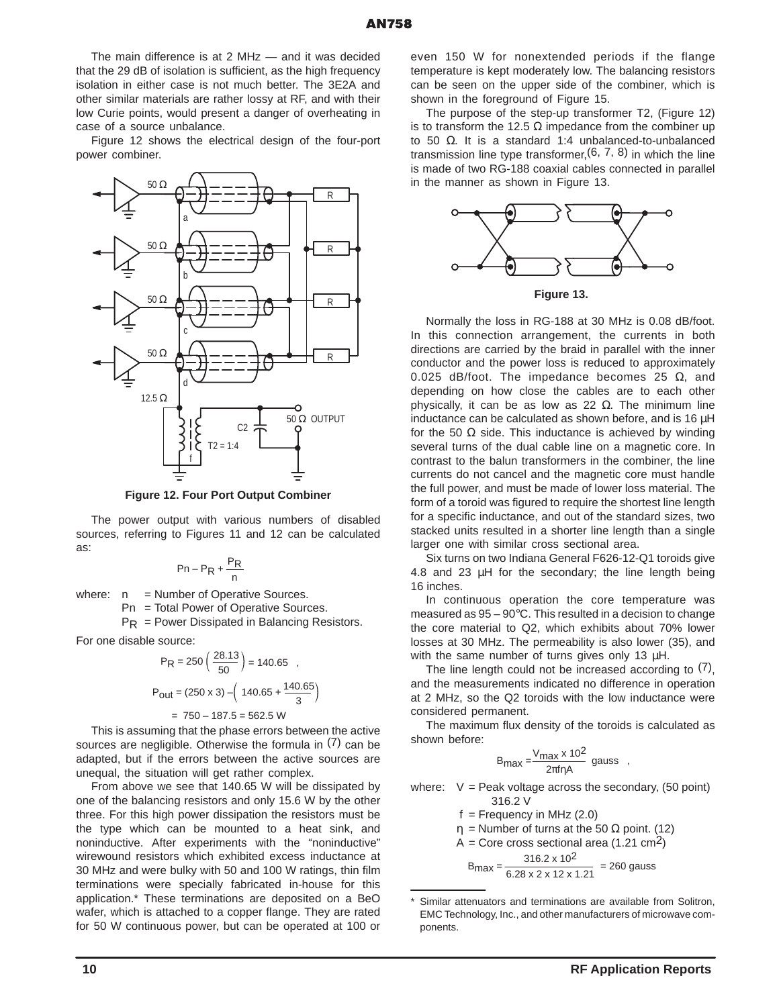The main difference is at 2 MHz — and it was decided that the 29 dB of isolation is sufficient, as the high frequency isolation in either case is not much better. The 3E2A and other similar materials are rather lossy at RF, and with their low Curie points, would present a danger of overheating in case of a source unbalance.

Figure 12 shows the electrical design of the four-port power combiner.



**Figure 12. Four Port Output Combiner**

The power output with various numbers of disabled sources, referring to Figures 11 and 12 can be calculated as:

$$
Pn - P_R + \frac{P_R}{n}
$$

where:  $n =$  Number of Operative Sources.

Pn = Total Power of Operative Sources.

 $PR = Power Disspated in Balancing Resistors.$ 

For one disable source:

$$
P_{\text{R}} = 250 \left( \frac{28.13}{50} \right) = 140.65 \text{ ,}
$$
\n
$$
P_{\text{Out}} = (250 \times 3) - \left( 140.65 + \frac{140.65}{3} \right)
$$
\n
$$
= 750 - 187.5 = 562.5 \text{ W}
$$

This is assuming that the phase errors between the active sources are negligible. Otherwise the formula in (7) can be adapted, but if the errors between the active sources are unequal, the situation will get rather complex.

From above we see that 140.65 W will be dissipated by one of the balancing resistors and only 15.6 W by the other three. For this high power dissipation the resistors must be the type which can be mounted to a heat sink, and noninductive. After experiments with the "noninductive" wirewound resistors which exhibited excess inductance at 30 MHz and were bulky with 50 and 100 W ratings, thin film terminations were specially fabricated in-house for this application.\* These terminations are deposited on a BeO wafer, which is attached to a copper flange. They are rated for 50 W continuous power, but can be operated at 100 or even 150 W for nonextended periods if the flange temperature is kept moderately low. The balancing resistors can be seen on the upper side of the combiner, which is shown in the foreground of Figure 15.

The purpose of the step-up transformer T2, (Figure 12) is to transform the 12.5  $\Omega$  impedance from the combiner up to 50 Ω. It is a standard 1:4 unbalanced-to-unbalanced transmission line type transformer,  $(6, 7, 8)$  in which the line is made of two RG-188 coaxial cables connected in parallel in the manner as shown in Figure 13.



**Figure 13.** 

Normally the loss in RG-188 at 30 MHz is 0.08 dB/foot. In this connection arrangement, the currents in both directions are carried by the braid in parallel with the inner conductor and the power loss is reduced to approximately 0.025 dB/foot. The impedance becomes 25  $Ω$ , and depending on how close the cables are to each other physically, it can be as low as 22  $Ω$ . The minimum line inductance can be calculated as shown before, and is 16 µH for the 50  $\Omega$  side. This inductance is achieved by winding several turns of the dual cable line on a magnetic core. In contrast to the balun transformers in the combiner, the line currents do not cancel and the magnetic core must handle the full power, and must be made of lower loss material. The form of a toroid was figured to require the shortest line length for a specific inductance, and out of the standard sizes, two stacked units resulted in a shorter line length than a single larger one with similar cross sectional area.

Six turns on two Indiana General F626-12-Q1 toroids give 4.8 and 23 µH for the secondary; the line length being 16 inches.

In continuous operation the core temperature was measured as 95 – 90°C. This resulted in a decision to change the core material to Q2, which exhibits about 70% lower losses at 30 MHz. The permeability is also lower (35), and with the same number of turns gives only 13  $\mu$ H.

The line length could not be increased according to  $(7)$ , and the measurements indicated no difference in operation at 2 MHz, so the Q2 toroids with the low inductance were considered permanent.

The maximum flux density of the toroids is calculated as shown before:

$$
B_{\text{max}} = \frac{V_{\text{max}} \times 10^2}{2\pi f \eta A} \text{ gauss} ,
$$

where:  $V =$  Peak voltage across the secondary, (50 point) 316.2 V

$$
f = Frequency in MHz (2.0)
$$
  
\n
$$
\eta = Number of turns at the 50 \Omega point. (12)
$$
  
\n
$$
A = Core cross sectional area (1.21 cm2)
$$
  
\n
$$
B_{max} = \frac{316.2 \times 10^{2}}{6.28 \times 2 \times 12 \times 1.21} = 260 gauss
$$

Similar attenuators and terminations are available from Solitron, EMC Technology, Inc., and other manufacturers of microwave components.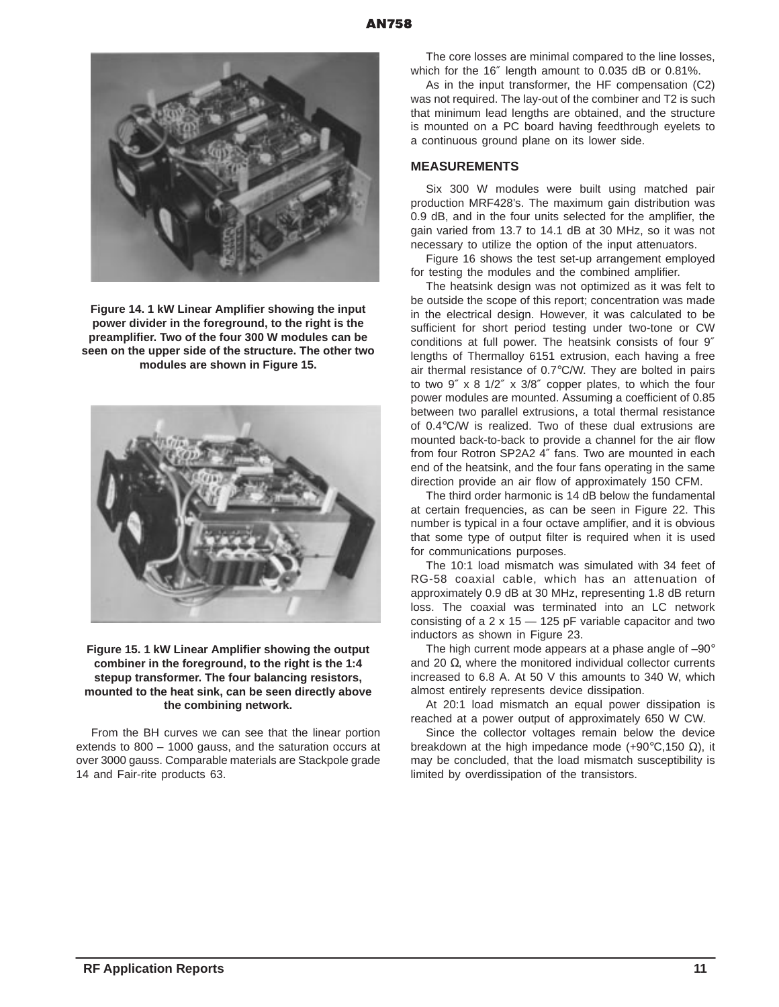

**Figure 14. 1 kW Linear Amplifier showing the input power divider in the foreground, to the right is the preamplifier. Two of the four 300 W modules can be seen on the upper side of the structure. The other two modules are shown in Figure 15.**



#### **Figure 15. 1 kW Linear Amplifier showing the output combiner in the foreground, to the right is the 1:4 stepup transformer. The four balancing resistors, mounted to the heat sink, can be seen directly above the combining network.**

From the BH curves we can see that the linear portion extends to 800 – 1000 gauss, and the saturation occurs at over 3000 gauss. Comparable materials are Stackpole grade 14 and Fair-rite products 63.

The core losses are minimal compared to the line losses, which for the 16″ length amount to 0.035 dB or 0.81%.

As in the input transformer, the HF compensation (C2) was not required. The lay-out of the combiner and T2 is such that minimum lead lengths are obtained, and the structure is mounted on a PC board having feedthrough eyelets to a continuous ground plane on its lower side.

#### **MEASUREMENTS**

Six 300 W modules were built using matched pair production MRF428's. The maximum gain distribution was 0.9 dB, and in the four units selected for the amplifier, the gain varied from 13.7 to 14.1 dB at 30 MHz, so it was not necessary to utilize the option of the input attenuators.

Figure 16 shows the test set-up arrangement employed for testing the modules and the combined amplifier.

The heatsink design was not optimized as it was felt to be outside the scope of this report; concentration was made in the electrical design. However, it was calculated to be sufficient for short period testing under two-tone or CW conditions at full power. The heatsink consists of four 9″ lengths of Thermalloy 6151 extrusion, each having a free air thermal resistance of 0.7°C/W. They are bolted in pairs to two 9″ x 8 1/2″ x 3/8″ copper plates, to which the four power modules are mounted. Assuming a coefficient of 0.85 between two parallel extrusions, a total thermal resistance of 0.4°C/W is realized. Two of these dual extrusions are mounted back-to-back to provide a channel for the air flow from four Rotron SP2A2 4″ fans. Two are mounted in each end of the heatsink, and the four fans operating in the same direction provide an air flow of approximately 150 CFM.

The third order harmonic is 14 dB below the fundamental at certain frequencies, as can be seen in Figure 22. This number is typical in a four octave amplifier, and it is obvious that some type of output filter is required when it is used for communications purposes.

The 10:1 load mismatch was simulated with 34 feet of RG-58 coaxial cable, which has an attenuation of approximately 0.9 dB at 30 MHz, representing 1.8 dB return loss. The coaxial was terminated into an LC network consisting of a  $2 \times 15 - 125$  pF variable capacitor and two inductors as shown in Figure 23.

The high current mode appears at a phase angle of -90° and 20  $Ω$ , where the monitored individual collector currents increased to 6.8 A. At 50 V this amounts to 340 W, which almost entirely represents device dissipation.

At 20:1 load mismatch an equal power dissipation is reached at a power output of approximately 650 W CW.

Since the collector voltages remain below the device breakdown at the high impedance mode (+90 $\degree$ C,150 Ω), it may be concluded, that the load mismatch susceptibility is limited by overdissipation of the transistors.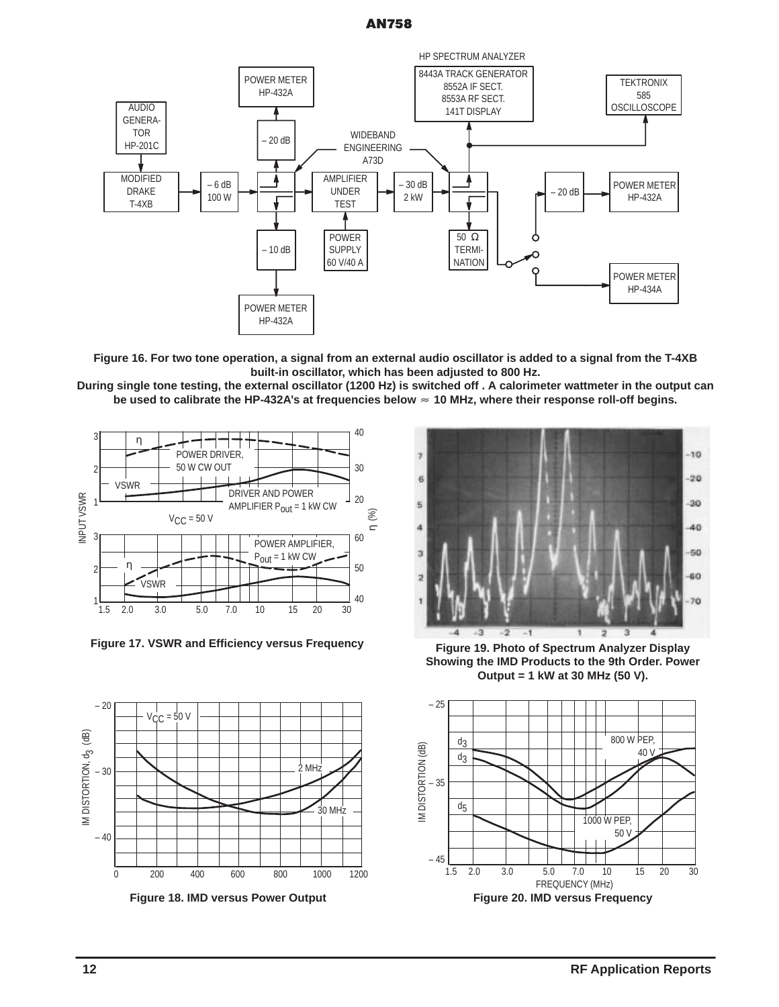# **AN758**



**Figure 16. For two tone operation, a signal from an external audio oscillator is added to a signal from the T-4XB built-in oscillator, which has been adjusted to 800 Hz.**

**During single tone testing, the external oscillator (1200 Hz) is switched off . A calorimeter wattmeter in the output can be used to calibrate the HP-432A's at frequencies below 10 MHz, where their response roll-off begins.**



**Figure 17. VSWR and Efficiency versus Frequency**



**Figure 18. IMD versus Power Output**



**Figure 19. Photo of Spectrum Analyzer Display Showing the IMD Products to the 9th Order. Power Output = 1 kW at 30 MHz (50 V).**



**12 RF Application Reports**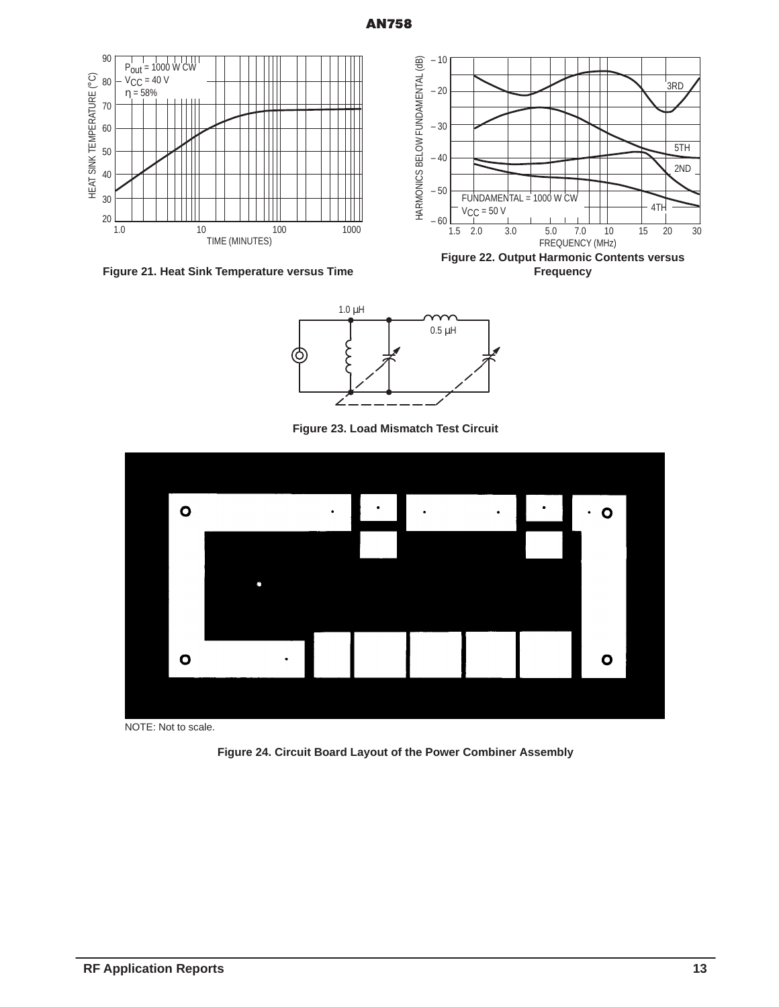

**Figure 21. Heat Sink Temperature versus Time**

**Figure 22. Output Harmonic Contents versus Frequency**



**Figure 23. Load Mismatch Test Circuit**



NOTE: Not to scale.

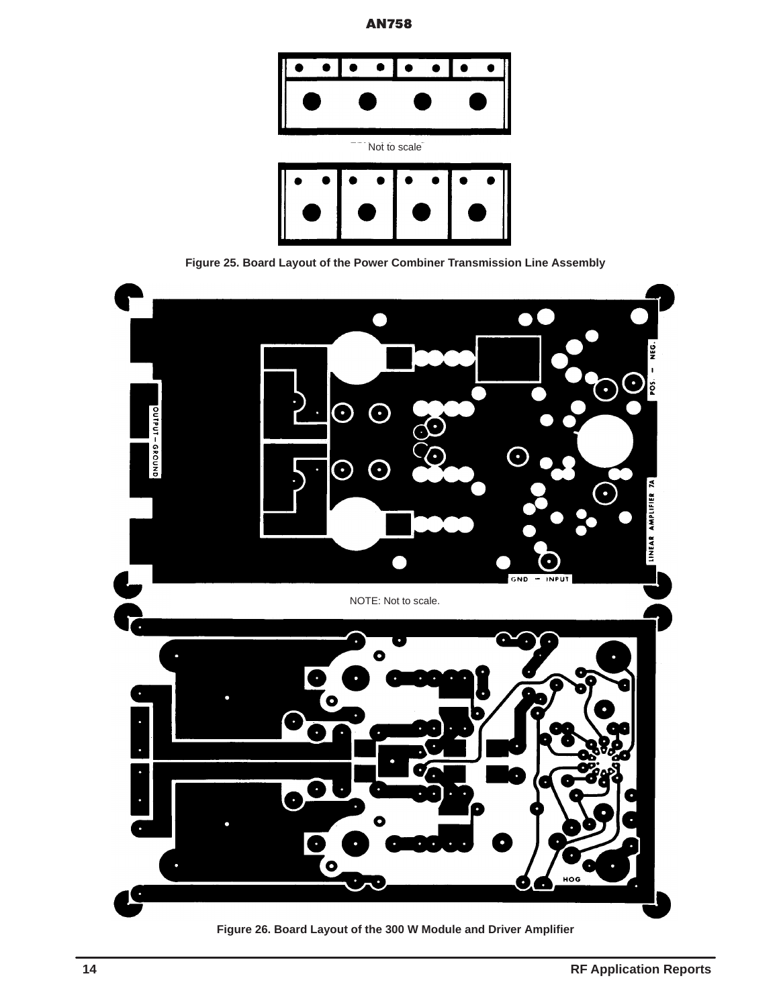



**Figure 25. Board Layout of the Power Combiner Transmission Line Assembly**



**Figure 26. Board Layout of the 300 W Module and Driver Amplifier**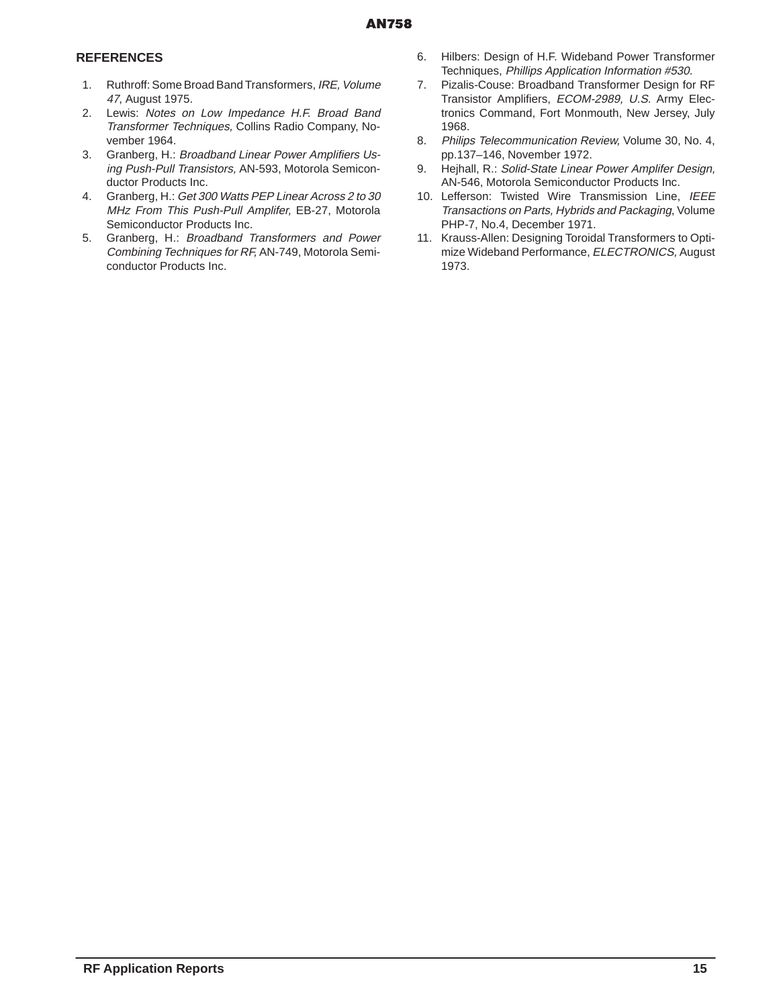# **REFERENCES**

- 1. Ruthroff: Some Broad Band Transformers, IRE, Volume 47, August 1975.
- 2. Lewis: Notes on Low Impedance H.F. Broad Band Transformer Techniques, Collins Radio Company, November 1964.
- 3. Granberg, H.: Broadband Linear Power Amplifiers Using Push-Pull Transistors, AN-593, Motorola Semiconductor Products Inc.
- 4. Granberg, H.: Get 300 Watts PEP Linear Across 2 to 30 MHz From This Push-Pull Amplifer, EB-27, Motorola Semiconductor Products Inc.
- 5. Granberg, H.: Broadband Transformers and Power Combining Techniques for RF, AN-749, Motorola Semiconductor Products Inc.
- 6. Hilbers: Design of H.F. Wideband Power Transformer Techniques, Phillips Application Information #530.
- 7. Pizalis-Couse: Broadband Transformer Design for RF Transistor Amplifiers, ECOM-2989, U.S. Army Electronics Command, Fort Monmouth, New Jersey, July 1968.
- 8. Philips Telecommunication Review, Volume 30, No. 4, pp.137–146, November 1972.
- 9. Hejhall, R.: Solid-State Linear Power Amplifer Design, AN-546, Motorola Semiconductor Products Inc.
- 10. Lefferson: Twisted Wire Transmission Line, IEEE Transactions on Parts, Hybrids and Packaging, Volume PHP-7, No.4, December 1971.
- 11. Krauss-Allen: Designing Toroidal Transformers to Optimize Wideband Performance, ELECTRONICS, August 1973.